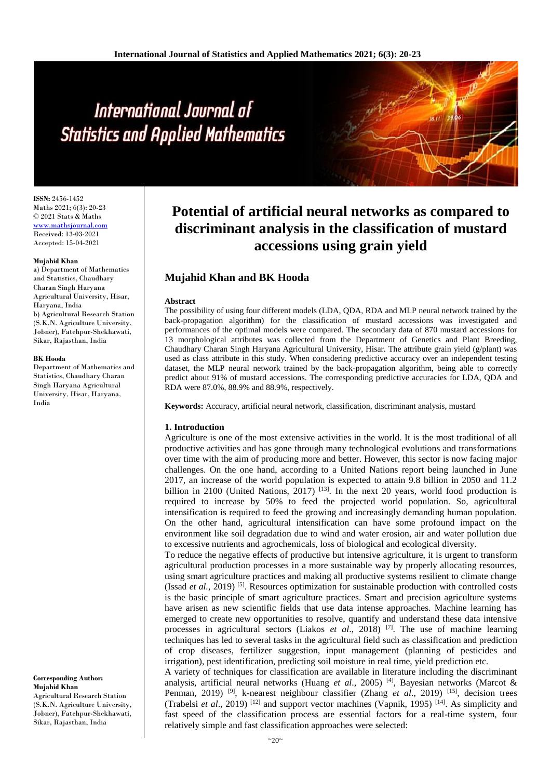# International Journal of **Statistics and Applied Mathematics**

**ISSN:** 2456-1452 Maths 2021; 6(3): 20-23 © 2021 Stats & Maths <www.mathsjournal.com> Received: 13-03-2021 Accepted: 15-04-2021

#### **Mujahid Khan**

a) Department of Mathematics and Statistics, Chaudhary Charan Singh Haryana Agricultural University, Hisar, Haryana, India b) Agricultural Research Station (S.K.N. Agriculture University, Jobner), Fatehpur-Shekhawati, Sikar, Rajasthan, India

#### **BK Hooda**

Department of Mathematics and Statistics, Chaudhary Charan Singh Haryana Agricultural University, Hisar, Haryana, India

**Corresponding Author: Mujahid Khan**

Agricultural Research Station (S.K.N. Agriculture University, Jobner), Fatehpur-Shekhawati, Sikar, Rajasthan, India

# **Potential of artificial neural networks as compared to discriminant analysis in the classification of mustard accessions using grain yield**

# **Mujahid Khan and BK Hooda**

#### **Abstract**

The possibility of using four different models (LDA, QDA, RDA and MLP neural network trained by the back-propagation algorithm) for the classification of mustard accessions was investigated and performances of the optimal models were compared. The secondary data of 870 mustard accessions for 13 morphological attributes was collected from the Department of Genetics and Plant Breeding, Chaudhary Charan Singh Haryana Agricultural University, Hisar. The attribute grain yield (g/plant) was used as class attribute in this study. When considering predictive accuracy over an independent testing dataset, the MLP neural network trained by the back-propagation algorithm, being able to correctly predict about 91% of mustard accessions. The corresponding predictive accuracies for LDA, QDA and RDA were 87.0%, 88.9% and 88.9%, respectively.

**Keywords:** Accuracy, artificial neural network, classification, discriminant analysis, mustard

#### **1. Introduction**

Agriculture is one of the most extensive activities in the world. It is the most traditional of all productive activities and has gone through many technological evolutions and transformations over time with the aim of producing more and better. However, this sector is now facing major challenges. On the one hand, according to a United Nations report being launched in June 2017, an increase of the world population is expected to attain 9.8 billion in 2050 and 11.2 billion in 2100 (United Nations, 2017)  $[13]$ . In the next 20 years, world food production is required to increase by 50% to feed the projected world population. So, agricultural intensification is required to feed the growing and increasingly demanding human population. On the other hand, agricultural intensification can have some profound impact on the environment like soil degradation due to wind and water erosion, air and water pollution due to excessive nutrients and agrochemicals, loss of biological and ecological diversity.

To reduce the negative effects of productive but intensive agriculture, it is urgent to transform agricultural production processes in a more sustainable way by properly allocating resources, using smart agriculture practices and making all productive systems resilient to climate change (Issad *et al.*, 2019)<sup>[5]</sup>. Resources optimization for sustainable production with controlled costs is the basic principle of smart agriculture practices. Smart and precision agriculture systems have arisen as new scientific fields that use data intense approaches. Machine learning has emerged to create new opportunities to resolve, quantify and understand these data intensive processes in agricultural sectors (Liakos *et al.*, 2018)<sup>[7]</sup>. The use of machine learning techniques has led to several tasks in the agricultural field such as classification and prediction of crop diseases, fertilizer suggestion, input management (planning of pesticides and irrigation), pest identification, predicting soil moisture in real time, yield prediction etc.

A variety of techniques for classification are available in literature including the discriminant analysis, artificial neural networks (Huang *et al*., 2005) [4], Bayesian networks (Marcot & Penman, 2019) [9], k-nearest neighbour classifier (Zhang *et al*., 2019) [15], decision trees (Trabelsi *et al*., 2019) [12] and support vector machines (Vapnik, 1995) [14]. As simplicity and fast speed of the classification process are essential factors for a real-time system, four relatively simple and fast classification approaches were selected: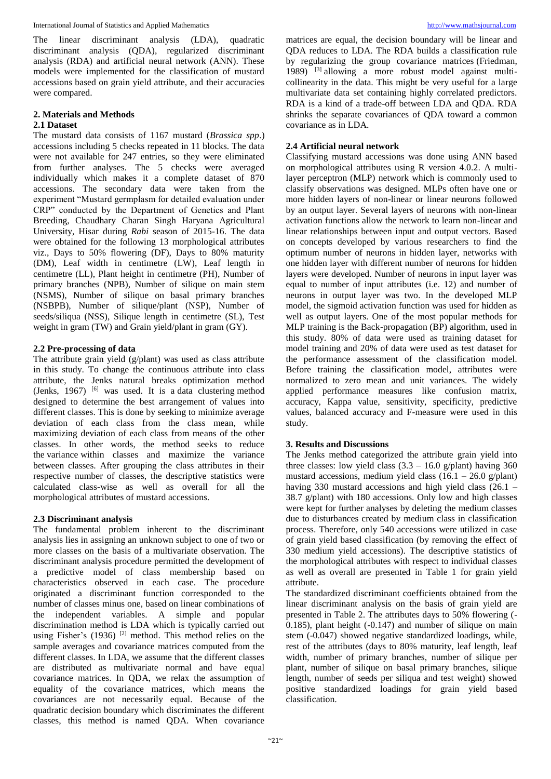International Journal of Statistics and Applied Mathematics [http://www.mathsjournal.com](http://www.mathsjournal.com/)

The linear discriminant analysis (LDA), quadratic discriminant analysis (QDA), regularized discriminant analysis (RDA) and artificial neural network (ANN). These models were implemented for the classification of mustard accessions based on grain yield attribute, and their accuracies were compared.

## **2. Materials and Methods**

#### **2.1 Dataset**

The mustard data consists of 1167 mustard (*Brassica spp*.) accessions including 5 checks repeated in 11 blocks. The data were not available for 247 entries, so they were eliminated from further analyses. The 5 checks were averaged individually which makes it a complete dataset of 870 accessions. The secondary data were taken from the experiment "Mustard germplasm for detailed evaluation under CRP" conducted by the Department of Genetics and Plant Breeding, Chaudhary Charan Singh Haryana Agricultural University, Hisar during *Rabi* season of 2015-16. The data were obtained for the following 13 morphological attributes viz., Days to 50% flowering (DF), Days to 80% maturity (DM), Leaf width in centimetre (LW), Leaf length in centimetre (LL), Plant height in centimetre (PH), Number of primary branches (NPB), Number of silique on main stem (NSMS), Number of silique on basal primary branches (NSBPB), Number of silique/plant (NSP), Number of seeds/siliqua (NSS), Silique length in centimetre (SL), Test weight in gram (TW) and Grain yield/plant in gram (GY).

## **2.2 Pre-processing of data**

The attribute grain yield (g/plant) was used as class attribute in this study. To change the continuous attribute into class attribute, the Jenks natural breaks optimization method (Jenks,  $1967$ ) <sup>[6]</sup> was used. It is a data clustering method designed to determine the best arrangement of values into different classes. This is done by seeking to minimize average deviation of each class from the class mean, while maximizing deviation of each class from means of the other classes. In other words, the method seeks to reduce the variance within classes and maximize the variance between classes. After grouping the class attributes in their respective number of classes, the descriptive statistics were calculated class-wise as well as overall for all the morphological attributes of mustard accessions.

#### **2.3 Discriminant analysis**

The fundamental problem inherent to the discriminant analysis lies in assigning an unknown subject to one of two or more classes on the basis of a multivariate observation. The discriminant analysis procedure permitted the development of a predictive model of class membership based on characteristics observed in each case. The procedure originated a discriminant function corresponded to the number of classes minus one, based on linear combinations of the independent variables. A simple and popular discrimination method is LDA which is typically carried out using Fisher's  $(1936)$ <sup>[2]</sup> method. This method relies on the sample averages and covariance matrices computed from the different classes. In LDA, we assume that the different classes are distributed as multivariate normal and have equal covariance matrices. In QDA, we relax the assumption of equality of the covariance matrices, which means the covariances are not necessarily equal. Because of the quadratic decision boundary which discriminates the different classes, this method is named QDA. When covariance

matrices are equal, the decision boundary will be linear and QDA reduces to LDA. The RDA builds a classification rule by regularizing the group covariance matrices (Friedman, 1989) [3] allowing a more robust model against multicollinearity in the data. This might be very useful for a large multivariate data set containing highly correlated predictors. RDA is a kind of a trade-off between LDA and QDA. RDA shrinks the separate covariances of QDA toward a common covariance as in LDA.

# **2.4 Artificial neural network**

Classifying mustard accessions was done using ANN based on morphological attributes using R version 4.0.2. A multilayer perceptron (MLP) network which is commonly used to classify observations was designed. MLPs often have one or more hidden layers of non-linear or linear neurons followed by an output layer. Several layers of neurons with non-linear activation functions allow the network to learn non-linear and linear relationships between input and output vectors. Based on concepts developed by various researchers to find the optimum number of neurons in hidden layer, networks with one hidden layer with different number of neurons for hidden layers were developed. Number of neurons in input layer was equal to number of input attributes (i.e. 12) and number of neurons in output layer was two. In the developed MLP model, the sigmoid activation function was used for hidden as well as output layers. One of the most popular methods for MLP training is the Back-propagation (BP) algorithm, used in this study. 80% of data were used as training dataset for model training and 20% of data were used as test dataset for the performance assessment of the classification model. Before training the classification model, attributes were normalized to zero mean and unit variances. The widely applied performance measures like confusion matrix, accuracy, Kappa value, sensitivity, specificity, predictive values, balanced accuracy and F-measure were used in this study.

#### **3. Results and Discussions**

The Jenks method categorized the attribute grain yield into three classes: low yield class  $(3.3 - 16.0 \text{ g/plant})$  having 360 mustard accessions, medium yield class  $(16.1 - 26.0 \text{ g/plant})$ having 330 mustard accessions and high yield class  $(26.1 -$ 38.7 g/plant) with 180 accessions. Only low and high classes were kept for further analyses by deleting the medium classes due to disturbances created by medium class in classification process. Therefore, only 540 accessions were utilized in case of grain yield based classification (by removing the effect of 330 medium yield accessions). The descriptive statistics of the morphological attributes with respect to individual classes as well as overall are presented in Table 1 for grain yield attribute.

The standardized discriminant coefficients obtained from the linear discriminant analysis on the basis of grain yield are presented in Table 2. The attributes days to 50% flowering (- 0.185), plant height (-0.147) and number of silique on main stem (-0.047) showed negative standardized loadings, while, rest of the attributes (days to 80% maturity, leaf length, leaf width, number of primary branches, number of silique per plant, number of silique on basal primary branches, silique length, number of seeds per siliqua and test weight) showed positive standardized loadings for grain yield based classification.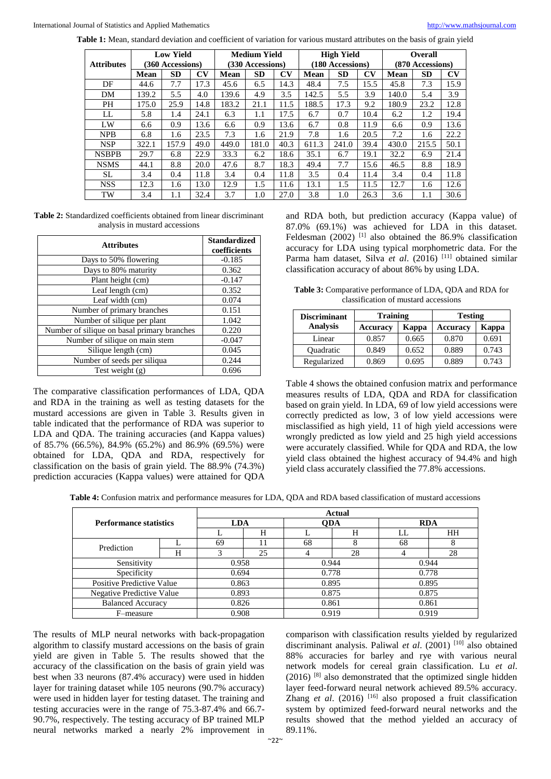**Table 1:** Mean, standard deviation and coefficient of variation for various mustard attributes on the basis of grain yield

| <b>Attributes</b> | <b>Low Yield</b><br>(360 Accessions) |       |                        | <b>Medium Yield</b><br>(330 Accessions) |           |      | <b>High Yield</b><br>(180 Accessions) |           |                        | <b>Overall</b><br>(870 Accessions) |           |                        |
|-------------------|--------------------------------------|-------|------------------------|-----------------------------------------|-----------|------|---------------------------------------|-----------|------------------------|------------------------------------|-----------|------------------------|
|                   | <b>Mean</b>                          | SD    | $\mathbf{C}\mathbf{V}$ | <b>Mean</b>                             | <b>SD</b> | CV   | Mean                                  | <b>SD</b> | $\mathbf{C}\mathbf{V}$ | Mean                               | <b>SD</b> | $\mathbf{C}\mathbf{V}$ |
| DF                | 44.6                                 | 7.7   | 17.3                   | 45.6                                    | 6.5       | 14.3 | 48.4                                  | 7.5       | 15.5                   | 45.8                               | 7.3       | 15.9                   |
| DM                | 139.2                                | 5.5   | 4.0                    | 139.6                                   | 4.9       | 3.5  | 142.5                                 | 5.5       | 3.9                    | 140.0                              | 5.4       | 3.9                    |
| <b>PH</b>         | 175.0                                | 25.9  | 14.8                   | 183.2                                   | 21.1      | 11.5 | 188.5                                 | 17.3      | 9.2                    | 180.9                              | 23.2      | 12.8                   |
| LL                | 5.8                                  | 1.4   | 24.1                   | 6.3                                     | 1.1       | 17.5 | 6.7                                   | 0.7       | 10.4                   | 6.2                                | 1.2       | 19.4                   |
| LW                | 6.6                                  | 0.9   | 13.6                   | 6.6                                     | 0.9       | 13.6 | 6.7                                   | 0.8       | 11.9                   | 6.6                                | 0.9       | 13.6                   |
| <b>NPB</b>        | 6.8                                  | 1.6   | 23.5                   | 7.3                                     | 1.6       | 21.9 | 7.8                                   | 1.6       | 20.5                   | 7.2                                | 1.6       | 22.2                   |
| <b>NSP</b>        | 322.1                                | 157.9 | 49.0                   | 449.0                                   | 181.0     | 40.3 | 611.3                                 | 241.0     | 39.4                   | 430.0                              | 215.5     | 50.1                   |
| <b>NSBPB</b>      | 29.7                                 | 6.8   | 22.9                   | 33.3                                    | 6.2       | 18.6 | 35.1                                  | 6.7       | 19.1                   | 32.2                               | 6.9       | 21.4                   |
| <b>NSMS</b>       | 44.1                                 | 8.8   | 20.0                   | 47.6                                    | 8.7       | 18.3 | 49.4                                  | 7.7       | 15.6                   | 46.5                               | 8.8       | 18.9                   |
| SL                | 3.4                                  | 0.4   | 11.8                   | 3.4                                     | 0.4       | 11.8 | 3.5                                   | 0.4       | 11.4                   | 3.4                                | 0.4       | 11.8                   |
| <b>NSS</b>        | 12.3                                 | 1.6   | 13.0                   | 12.9                                    | 1.5       | 11.6 | 13.1                                  | 1.5       | 11.5                   | 12.7                               | 1.6       | 12.6                   |
| TW                | 3.4                                  | 1.1   | 32.4                   | 3.7                                     | 1.0       | 27.0 | 3.8                                   | 1.0       | 26.3                   | 3.6                                | 1.1       | 30.6                   |

**Table 2:** Standardized coefficients obtained from linear discriminant analysis in mustard accessions

| <b>Attributes</b>                           | <b>Standardized</b><br>coefficients |  |  |
|---------------------------------------------|-------------------------------------|--|--|
| Days to 50% flowering                       | $-0.185$                            |  |  |
| Days to 80% maturity                        | 0.362                               |  |  |
| Plant height (cm)                           | $-0.147$                            |  |  |
| Leaf length (cm)                            | 0.352                               |  |  |
| Leaf width (cm)                             | 0.074                               |  |  |
| Number of primary branches                  | 0.151                               |  |  |
| Number of silique per plant                 | 1.042                               |  |  |
| Number of silique on basal primary branches | 0.220                               |  |  |
| Number of silique on main stem              | $-0.047$                            |  |  |
| Silique length (cm)                         | 0.045                               |  |  |
| Number of seeds per siliqua                 | 0.244                               |  |  |
| Test weight $(g)$                           | 0.696                               |  |  |

The comparative classification performances of LDA, QDA and RDA in the training as well as testing datasets for the mustard accessions are given in Table 3. Results given in table indicated that the performance of RDA was superior to LDA and QDA. The training accuracies (and Kappa values) of 85.7% (66.5%), 84.9% (65.2%) and 86.9% (69.5%) were obtained for LDA, QDA and RDA, respectively for classification on the basis of grain yield. The 88.9% (74.3%) prediction accuracies (Kappa values) were attained for QDA

and RDA both, but prediction accuracy (Kappa value) of 87.0% (69.1%) was achieved for LDA in this dataset. Feldesman (2002)<sup>[1]</sup> also obtained the 86.9% classification accuracy for LDA using typical morphometric data. For the Parma ham dataset, Silva *et al.* (2016)<sup>[11]</sup> obtained similar classification accuracy of about 86% by using LDA.

**Table 3:** Comparative performance of LDA, QDA and RDA for classification of mustard accessions

| <b>Discriminant</b> | <b>Training</b> |       | <b>Testing</b>  |       |  |  |
|---------------------|-----------------|-------|-----------------|-------|--|--|
| <b>Analysis</b>     | Accuracy        | Kappa | <b>Accuracy</b> | Kappa |  |  |
| Linear              | 0.857           | 0.665 | 0.870           | 0.691 |  |  |
| <b>Quadratic</b>    | 0.849           | 0.652 | 0.889           | 0.743 |  |  |
| Regularized         | 0.869           | 0.695 | 0.889           | 0.743 |  |  |

Table 4 shows the obtained confusion matrix and performance measures results of LDA, QDA and RDA for classification based on grain yield. In LDA, 69 of low yield accessions were correctly predicted as low, 3 of low yield accessions were misclassified as high yield, 11 of high yield accessions were wrongly predicted as low yield and 25 high yield accessions were accurately classified. While for QDA and RDA, the low yield class obtained the highest accuracy of 94.4% and high yield class accurately classified the 77.8% accessions.

**Table 4:** Confusion matrix and performance measures for LDA, QDA and RDA based classification of mustard accessions

| <b>Performance statistics</b> |   | <b>Actual</b> |    |            |    |            |           |  |  |
|-------------------------------|---|---------------|----|------------|----|------------|-----------|--|--|
|                               |   | <b>LDA</b>    |    | <b>ODA</b> |    | <b>RDA</b> |           |  |  |
|                               |   |               | H  |            | H  | LL.        | <b>HH</b> |  |  |
| Prediction                    |   | 69            |    | 68         | x  | 68         | 8         |  |  |
|                               | Н |               | 25 |            | 28 |            | 28        |  |  |
| Sensitivity                   |   | 0.958         |    | 0.944      |    | 0.944      |           |  |  |
| Specificity                   |   | 0.694         |    | 0.778      |    | 0.778      |           |  |  |
| Positive Predictive Value     |   | 0.863         |    | 0.895      |    | 0.895      |           |  |  |
| Negative Predictive Value     |   | 0.893         |    | 0.875      |    | 0.875      |           |  |  |
| <b>Balanced Accuracy</b>      |   | 0.826         |    | 0.861      |    | 0.861      |           |  |  |
| F-measure                     |   | 0.908         |    | 0.919      |    | 0.919      |           |  |  |

The results of MLP neural networks with back-propagation algorithm to classify mustard accessions on the basis of grain yield are given in Table 5. The results showed that the accuracy of the classification on the basis of grain yield was best when 33 neurons (87.4% accuracy) were used in hidden layer for training dataset while 105 neurons (90.7% accuracy) were used in hidden layer for testing dataset. The training and testing accuracies were in the range of 75.3-87.4% and 66.7- 90.7%, respectively. The testing accuracy of BP trained MLP neural networks marked a nearly 2% improvement in

comparison with classification results yielded by regularized discriminant analysis. Paliwal *et al*. (2001) [10] also obtained 88% accuracies for barley and rye with various neural network models for cereal grain classification. Lu *et al*.  $(2016)$ <sup>[8]</sup> also demonstrated that the optimized single hidden layer feed-forward neural network achieved 89.5% accuracy. Zhang *et al*. (2016) [16] also proposed a fruit classification system by optimized feed-forward neural networks and the results showed that the method yielded an accuracy of 89.11%.